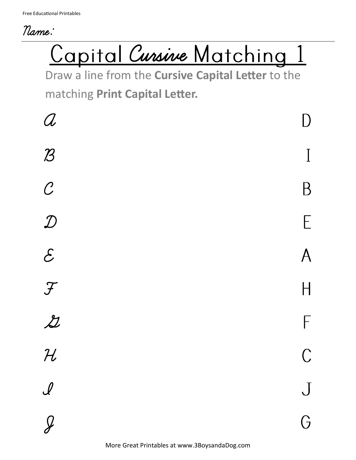Name:



Draw a line from the **Cursive Capital Letter** to the matching **Print Capital Letter.**

| $\mathcal{Q}$ |                                               | $\begin{bmatrix} 1 \\ 2 \end{bmatrix}$      |
|---------------|-----------------------------------------------|---------------------------------------------|
| $\mathcal{B}$ |                                               | $\begin{bmatrix} \phantom{-} \end{bmatrix}$ |
| $\mathcal C$  |                                               | B                                           |
| $\mathcal{D}$ |                                               | E                                           |
| $\mathcal{E}$ |                                               | $\overline{\mathsf{A}}$                     |
| $\mathcal{F}$ |                                               | $\overline{\mathsf{H}}$                     |
| $\chi$        |                                               | F                                           |
| $\mathcal{H}$ |                                               | $\overline{\mathsf{C}}$                     |
|               |                                               |                                             |
|               |                                               | $\Omega$                                    |
|               | More Great Printables at www.3BoysandaDog.com |                                             |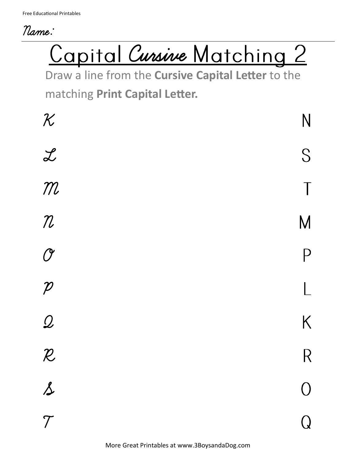Name:



Draw a line from the **Cursive Capital Letter** to the matching **Print Capital Letter.**

| $\chi$<br>m<br>$\mathcal{R}$<br>$\mathcal O$<br>$\boldsymbol{\mathcal{P}}$<br>$\mathcal{Q}$<br>$\mathcal{R}$<br>$\Delta$<br>$\mathcal T$ | $\chi$ | $\overline{\mathsf{N}}$ |
|------------------------------------------------------------------------------------------------------------------------------------------|--------|-------------------------|
|                                                                                                                                          |        | S                       |
|                                                                                                                                          |        | $\overline{1}$          |
|                                                                                                                                          |        | M                       |
|                                                                                                                                          |        | $\overline{P}$          |
|                                                                                                                                          |        | $\overline{\mathsf{L}}$ |
|                                                                                                                                          |        | K                       |
|                                                                                                                                          |        | R                       |
|                                                                                                                                          |        | <b>C</b>                |
|                                                                                                                                          |        | ${\rm Q}$               |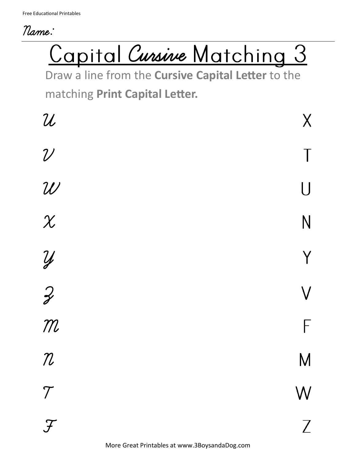Name:



Draw a line from the **Cursive Capital Letter** to the matching **Print Capital Letter.**

| $\mathcal{U}$       | $\overline{\mathsf{X}}$ |
|---------------------|-------------------------|
| $\mathcal{U}$       | $\top$                  |
| $\mathcal{U}$       | $\bigcup$               |
| $\chi$              | $\overline{N}$          |
| $\mathcal{Y}$       | Y                       |
| $\mathcal{Z}$       | $\bigvee$               |
| m                   | F                       |
| $\mathcal{R}$       | M                       |
| $\mathcal T$        | W                       |
| $\mathcal{F}% _{0}$ | $\overline{Z}$          |

More Great Printables at www.3BoysandaDog.com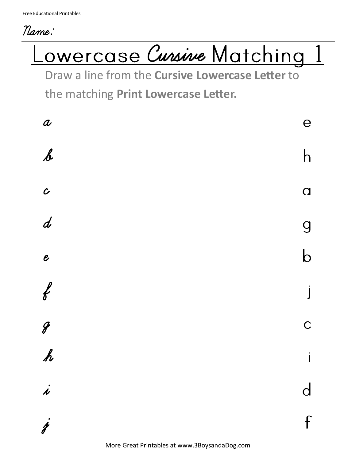Name:

## Lowercase Cursive Matching 1

Draw a line from the **Cursive Lowercase Letter** to the matching **Print Lowercase Letter.**

| $\boldsymbol{a}$           | $\Theta$       |
|----------------------------|----------------|
| $\ell$                     | h              |
| $\boldsymbol{c}$           | $\overline{a}$ |
| $\boldsymbol{d}$           | $\overline{g}$ |
| $\boldsymbol{\mathcal{E}}$ | $\mathsf b$    |
| $\ell$                     | $\dot{J}$      |
| $\mathcal{J}$              | $\mathsf C$    |
| $\hbar$                    | $\mathbf{i}$   |
| $\dot{\mathcal{L}}$        | $\overline{d}$ |
| $\dot{\mathscr{J}}$        | $\mathsf{f}$   |
|                            |                |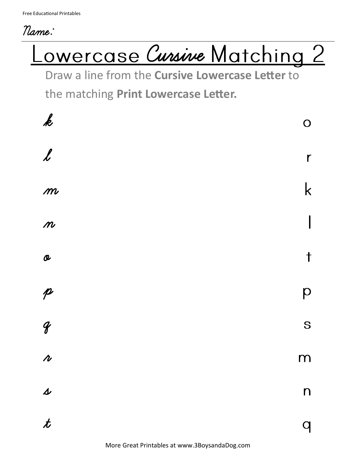Name:

## Lowercase Cunsine Matching 2

Draw a line from the **Cursive Lowercase Letter** to the matching **Print Lowercase Letter.**

| $\boldsymbol{k}$           | $\overline{O}$                        |
|----------------------------|---------------------------------------|
| $\boldsymbol{l}$           | $\mathsf{r}$                          |
| m                          | $\mathsf k$                           |
| $\boldsymbol{m}$           | $\begin{array}{c} \hline \end{array}$ |
| $\boldsymbol{\vartheta}$   | $\ddagger$                            |
| $\boldsymbol{\mathcal{P}}$ | p                                     |
| $\mathcal{C}$              | S                                     |
| $\boldsymbol{\mu}$         | m                                     |
| $\boldsymbol{\Delta}$      | $\mathsf{n}$                          |
| $\boldsymbol{t}$           | q                                     |